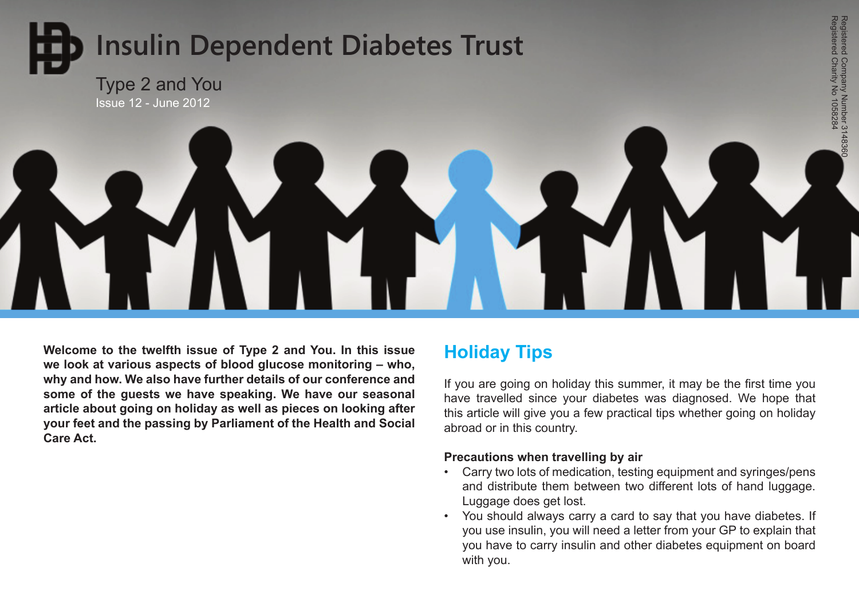# **Insulin Dependent Diabetes Trust**

Type 2 and You Issue 12 - June 2012



**Welcome to the twelfth issue of Type 2 and You. In this issue we look at various aspects of blood glucose monitoring – who, why and how. We also have further details of our conference and some of the guests we have speaking. We have our seasonal article about going on holiday as well as pieces on looking after your feet and the passing by Parliament of the Health and Social Care Act.**

## **Holiday Tips**

If you are going on holiday this summer, it may be the first time you have travelled since your diabetes was diagnosed. We hope that this article will give you a few practical tips whether going on holiday abroad or in this country.

#### **Precautions when travelling by air**

- Carry two lots of medication, testing equipment and syringes/pens and distribute them between two different lots of hand luggage. Luggage does get lost.
- You should always carry a card to say that you have diabetes. If you use insulin, you will need a letter from your GP to explain that you have to carry insulin and other diabetes equipment on board with you.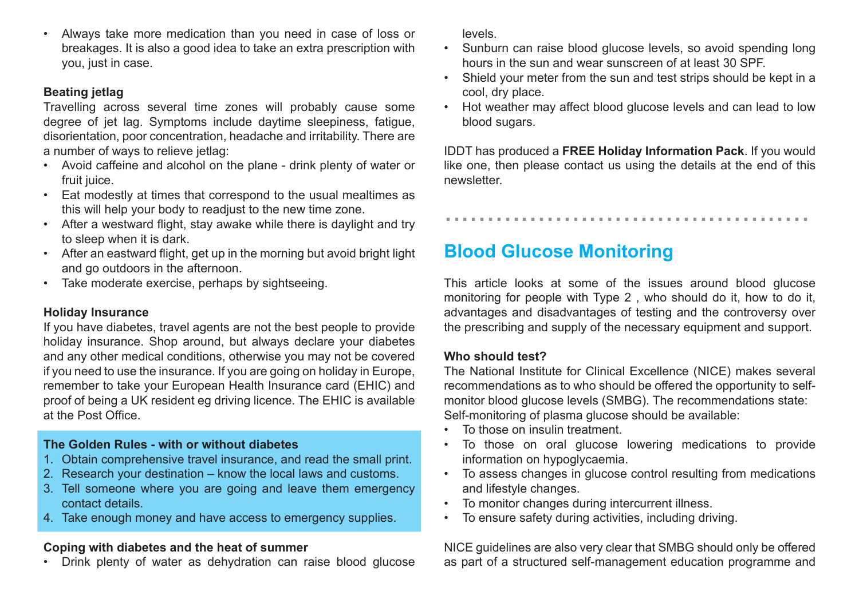• Always take more medication than you need in case of loss or breakages. It is also a good idea to take an extra prescription with you, just in case.

#### **Beating jetlag**

Travelling across several time zones will probably cause some degree of jet lag. Symptoms include daytime sleepiness, fatigue, disorientation, poor concentration, headache and irritability. There are a number of ways to relieve jetlag:

- Avoid caffeine and alcohol on the plane drink plenty of water or fruit juice.
- Eat modestly at times that correspond to the usual mealtimes as this will help your body to readjust to the new time zone.
- After a westward flight, stay awake while there is daylight and try to sleep when it is dark.
- After an eastward flight, get up in the morning but avoid bright light and go outdoors in the afternoon.
- Take moderate exercise, perhaps by sightseeing.

#### **Holiday Insurance**

If you have diabetes, travel agents are not the best people to provide holiday insurance. Shop around, but always declare your diabetes and any other medical conditions, otherwise you may not be covered if you need to use the insurance. If you are going on holiday in Europe, remember to take your European Health Insurance card (EHIC) and proof of being a UK resident eg driving licence. The EHIC is available at the Post Office.

#### **The Golden Rules - with or without diabetes**

- 1. Obtain comprehensive travel insurance, and read the small print.
- 2. Research your destination know the local laws and customs.
- 3. Tell someone where you are going and leave them emergency contact details.
- 4. Take enough money and have access to emergency supplies.

### **Coping with diabetes and the heat of summer**

• Drink plenty of water as dehydration can raise blood glucose

levels.

- Sunburn can raise blood glucose levels, so avoid spending long hours in the sun and wear sunscreen of at least 30 SPF.
- Shield your meter from the sun and test strips should be kept in a cool, dry place.
- Hot weather may affect blood glucose levels and can lead to low blood sugars.

IDDT has produced a **FREE Holiday Information Pack**. If you would like one, then please contact us using the details at the end of this newsletter.

...........................................

**Blood Glucose Monitoring**

This article looks at some of the issues around blood glucose monitoring for people with Type 2 , who should do it, how to do it, advantages and disadvantages of testing and the controversy over the prescribing and supply of the necessary equipment and support.

#### **Who should test?**

The National Institute for Clinical Excellence (NICE) makes several recommendations as to who should be offered the opportunity to selfmonitor blood glucose levels (SMBG). The recommendations state: Self-monitoring of plasma glucose should be available:

- To those on insulin treatment.
- To those on oral glucose lowering medications to provide information on hypoglycaemia.
- To assess changes in glucose control resulting from medications and lifestyle changes.
- To monitor changes during intercurrent illness.
- To ensure safety during activities, including driving.

NICE guidelines are also very clear that SMBG should only be offered as part of a structured self-management education programme and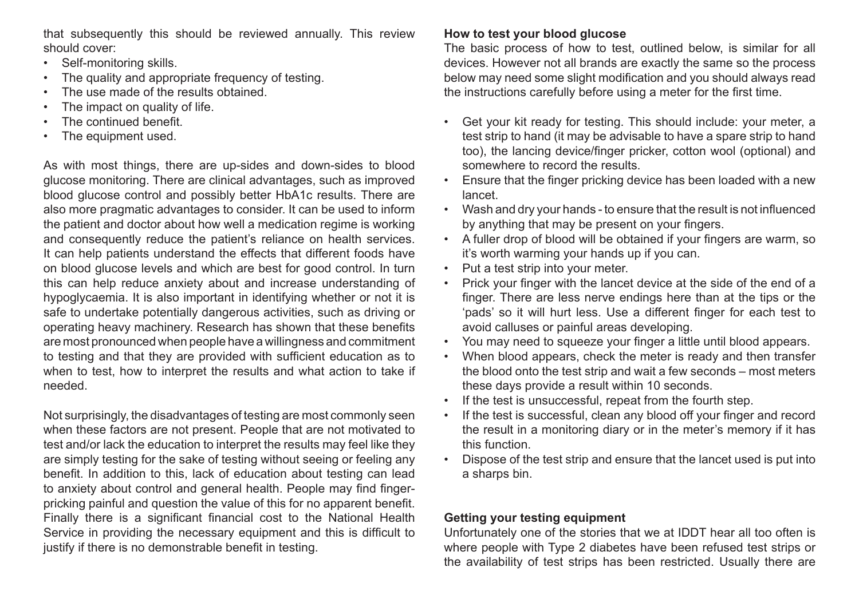that subsequently this should be reviewed annually. This review should cover:

- Self-monitoring skills.
- The quality and appropriate frequency of testing.
- The use made of the results obtained.
- The impact on quality of life.
- The continued benefit.
- The equipment used.

As with most things, there are up-sides and down-sides to blood glucose monitoring. There are clinical advantages, such as improved blood glucose control and possibly better HbA1c results. There are also more pragmatic advantages to consider. It can be used to inform the patient and doctor about how well a medication regime is working and consequently reduce the patient's reliance on health services. It can help patients understand the effects that different foods have on blood glucose levels and which are best for good control. In turn this can help reduce anxiety about and increase understanding of hypoglycaemia. It is also important in identifying whether or not it is safe to undertake potentially dangerous activities, such as driving or operating heavy machinery. Research has shown that these benefits are most pronounced when people have a willingness and commitment to testing and that they are provided with sufficient education as to when to test, how to interpret the results and what action to take if needed.

Not surprisingly, the disadvantages of testing are most commonly seen when these factors are not present. People that are not motivated to test and/or lack the education to interpret the results may feel like they are simply testing for the sake of testing without seeing or feeling any benefit. In addition to this, lack of education about testing can lead to anxiety about control and general health. People may find fingerpricking painful and question the value of this for no apparent benefit. Finally there is a significant financial cost to the National Health Service in providing the necessary equipment and this is difficult to justify if there is no demonstrable benefit in testing.

#### **How to test your blood glucose**

The basic process of how to test, outlined below, is similar for all devices. However not all brands are exactly the same so the process below may need some slight modification and you should always read the instructions carefully before using a meter for the first time.

- Get your kit ready for testing. This should include: your meter, a test strip to hand (it may be advisable to have a spare strip to hand too), the lancing device/finger pricker, cotton wool (optional) and somewhere to record the results.
- Ensure that the finger pricking device has been loaded with a new lancet.
- Wash and dry your hands to ensure that the result is not influenced by anything that may be present on your fingers.
- A fuller drop of blood will be obtained if your fingers are warm, so it's worth warming your hands up if you can.
- Put a test strip into your meter.
- Prick your finger with the lancet device at the side of the end of a finger. There are less nerve endings here than at the tips or the 'pads' so it will hurt less. Use a different finger for each test to avoid calluses or painful areas developing.
- You may need to squeeze your finger a little until blood appears.
- When blood appears, check the meter is ready and then transfer the blood onto the test strip and wait a few seconds – most meters these days provide a result within 10 seconds.
- If the test is unsuccessful, repeat from the fourth step.
- If the test is successful, clean any blood off your finger and record the result in a monitoring diary or in the meter's memory if it has this function.
- Dispose of the test strip and ensure that the lancet used is put into a sharps bin.

#### **Getting your testing equipment**

Unfortunately one of the stories that we at IDDT hear all too often is where people with Type 2 diabetes have been refused test strips or the availability of test strips has been restricted. Usually there are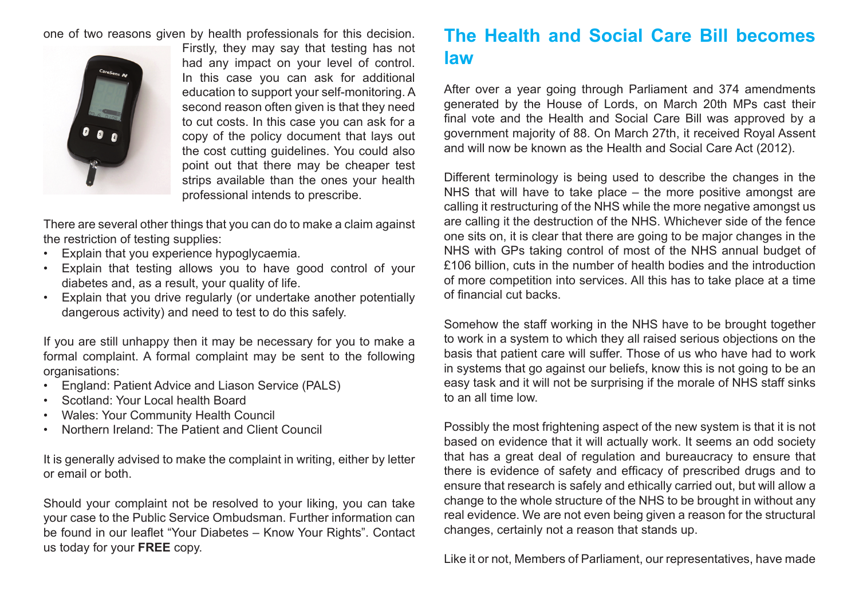one of two reasons given by health professionals for this decision.



Firstly, they may say that testing has not had any impact on your level of control. In this case you can ask for additional education to support your self-monitoring. A second reason often given is that they need to cut costs. In this case you can ask for a copy of the policy document that lays out the cost cutting guidelines. You could also point out that there may be cheaper test strips available than the ones your health professional intends to prescribe.

There are several other things that you can do to make a claim against the restriction of testing supplies:

- Explain that you experience hypoglycaemia.
- Explain that testing allows you to have good control of your diabetes and, as a result, your quality of life.
- Explain that you drive regularly (or undertake another potentially dangerous activity) and need to test to do this safely.

If you are still unhappy then it may be necessary for you to make a formal complaint. A formal complaint may be sent to the following organisations:

- England: Patient Advice and Liason Service (PALS)
- Scotland: Your Local health Board
- Wales: Your Community Health Council
- Northern Ireland: The Patient and Client Council

It is generally advised to make the complaint in writing, either by letter or email or both.

Should your complaint not be resolved to your liking, you can take your case to the Public Service Ombudsman. Further information can be found in our leaflet "Your Diabetes – Know Your Rights". Contact us today for your **FREE** copy.

## **The Health and Social Care Bill becomes law**

After over a year going through Parliament and 374 amendments generated by the House of Lords, on March 20th MPs cast their final vote and the Health and Social Care Bill was approved by a government majority of 88. On March 27th, it received Royal Assent and will now be known as the Health and Social Care Act (2012).

Different terminology is being used to describe the changes in the NHS that will have to take place – the more positive amongst are calling it restructuring of the NHS while the more negative amongst us are calling it the destruction of the NHS. Whichever side of the fence one sits on, it is clear that there are going to be major changes in the NHS with GPs taking control of most of the NHS annual budget of £106 billion, cuts in the number of health bodies and the introduction of more competition into services. All this has to take place at a time of financial cut backs.

Somehow the staff working in the NHS have to be brought together to work in a system to which they all raised serious objections on the basis that patient care will suffer. Those of us who have had to work in systems that go against our beliefs, know this is not going to be an easy task and it will not be surprising if the morale of NHS staff sinks to an all time low.

Possibly the most frightening aspect of the new system is that it is not based on evidence that it will actually work. It seems an odd society that has a great deal of regulation and bureaucracy to ensure that there is evidence of safety and efficacy of prescribed drugs and to ensure that research is safely and ethically carried out, but will allow a change to the whole structure of the NHS to be brought in without any real evidence. We are not even being given a reason for the structural changes, certainly not a reason that stands up.

Like it or not, Members of Parliament, our representatives, have made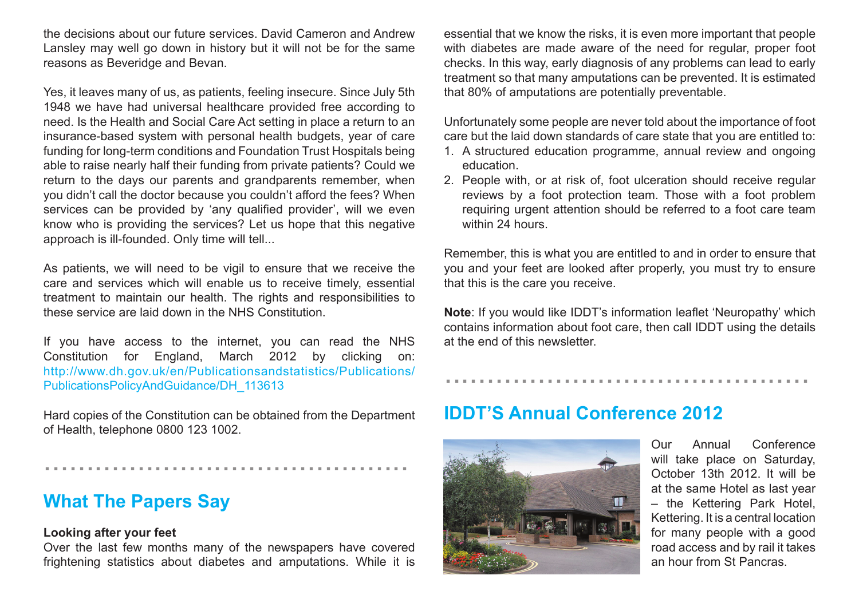the decisions about our future services. David Cameron and Andrew Lansley may well go down in history but it will not be for the same reasons as Beveridge and Bevan.

Yes, it leaves many of us, as patients, feeling insecure. Since July 5th 1948 we have had universal healthcare provided free according to need. Is the Health and Social Care Act setting in place a return to an insurance-based system with personal health budgets, year of care funding for long-term conditions and Foundation Trust Hospitals being able to raise nearly half their funding from private patients? Could we return to the days our parents and grandparents remember, when you didn't call the doctor because you couldn't afford the fees? When services can be provided by 'any qualified provider', will we even know who is providing the services? Let us hope that this negative approach is ill-founded. Only time will tell...

As patients, we will need to be vigil to ensure that we receive the care and services which will enable us to receive timely, essential treatment to maintain our health. The rights and responsibilities to these service are laid down in the NHS Constitution.

If you have access to the internet, you can read the NHS Constitution for England, March 2012 by clicking on: [http://www.dh.gov.uk/en/Publicationsandstatistics/Publications/](http://www.dh.gov.uk/en/Publicationsandstatistics/Publications/PublicationsPolicyAndGuidance/DH_113613) PublicationsPolicyAndGuidance/DH\_113613

Hard copies of the Constitution can be obtained from the Department of Health, telephone 0800 123 1002.

...........................................

**What The Papers Say**

#### **Looking after your feet**

Over the last few months many of the newspapers have covered frightening statistics about diabetes and amputations. While it is

essential that we know the risks, it is even more important that people with diabetes are made aware of the need for regular, proper foot checks. In this way, early diagnosis of any problems can lead to early treatment so that many amputations can be prevented. It is estimated that 80% of amputations are potentially preventable.

Unfortunately some people are never told about the importance of foot care but the laid down standards of care state that you are entitled to:

- 1. A structured education programme, annual review and ongoing education.
- 2. People with, or at risk of, foot ulceration should receive regular reviews by a foot protection team. Those with a foot problem requiring urgent attention should be referred to a foot care team within 24 hours.

Remember, this is what you are entitled to and in order to ensure that you and your feet are looked after properly, you must try to ensure that this is the care you receive.

**Note**: If you would like IDDT's information leaflet 'Neuropathy' which contains information about foot care, then call IDDT using the details at the end of this newsletter.

...........................................

## **IDDT'S Annual Conference 2012**



Our Annual Conference will take place on Saturday. October 13th 2012. It will be at the same Hotel as last year – the Kettering Park Hotel, Kettering. It is a central location for many people with a good road access and by rail it takes an hour from St Pancras.